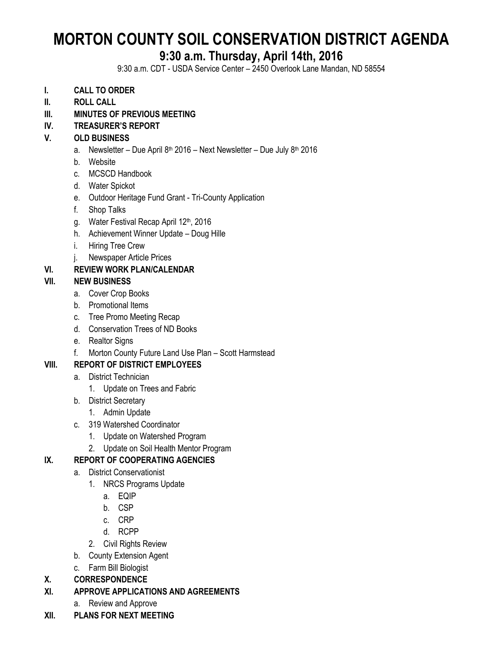# **MORTON COUNTY SOIL CONSERVATION DISTRICT AGENDA**

## **9:30 a.m. Thursday, April 14th, 2016**

9:30 a.m. CDT - USDA Service Center – 2450 Overlook Lane Mandan, ND 58554

- **I. CALL TO ORDER**
- **II. ROLL CALL**
- **III. MINUTES OF PREVIOUS MEETING**

### **IV. TREASURER'S REPORT**

#### **V. OLD BUSINESS**

- a. Newsletter Due April 8<sup>th</sup> 2016 Next Newsletter Due July 8<sup>th</sup> 2016
- b. Website
- c. MCSCD Handbook
- d. Water Spickot
- e. Outdoor Heritage Fund Grant Tri-County Application
- f. Shop Talks
- g. Water Festival Recap April 12th, 2016
- h. Achievement Winner Update Doug Hille
- i. Hiring Tree Crew
- j. Newspaper Article Prices

### **VI. REVIEW WORK PLAN/CALENDAR**

#### **VII. NEW BUSINESS**

- a. Cover Crop Books
- b. Promotional Items
- c. Tree Promo Meeting Recap
- d. Conservation Trees of ND Books
- e. Realtor Signs
- f. Morton County Future Land Use Plan Scott Harmstead

### **VIII. REPORT OF DISTRICT EMPLOYEES**

- a. District Technician
	- 1. Update on Trees and Fabric
- b. District Secretary
	- 1. Admin Update
- c. 319 Watershed Coordinator
	- 1. Update on Watershed Program
	- 2. Update on Soil Health Mentor Program

### **IX. REPORT OF COOPERATING AGENCIES**

- a. District Conservationist
	- 1. NRCS Programs Update
		- a. EQIP
		- b. CSP
		- c. CRP
		- d. RCPP
	- 2. Civil Rights Review
- b. County Extension Agent
- c. Farm Bill Biologist
- **X. CORRESPONDENCE**
- **XI. APPROVE APPLICATIONS AND AGREEMENTS**
	- a. Review and Approve
- **XII. PLANS FOR NEXT MEETING**